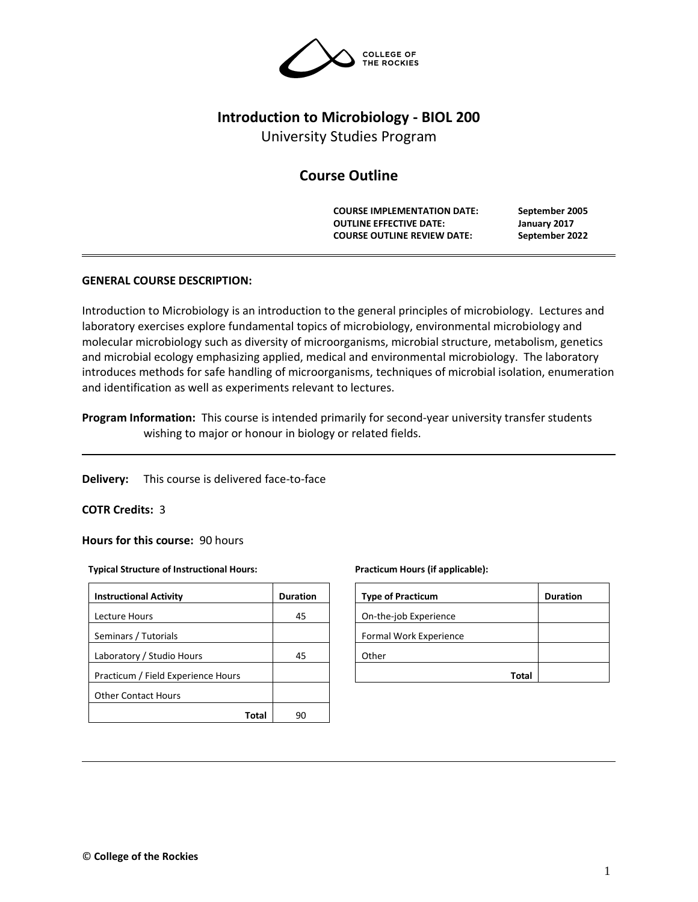

# **Introduction to Microbiology - BIOL 200**

University Studies Program

# **Course Outline**

**COURSE IMPLEMENTATION DATE: September 2005 OUTLINE EFFECTIVE DATE: January 2017 COURSE OUTLINE REVIEW DATE: September 2022**

# **GENERAL COURSE DESCRIPTION:**

Introduction to Microbiology is an introduction to the general principles of microbiology. Lectures and laboratory exercises explore fundamental topics of microbiology, environmental microbiology and molecular microbiology such as diversity of microorganisms, microbial structure, metabolism, genetics and microbial ecology emphasizing applied, medical and environmental microbiology. The laboratory introduces methods for safe handling of microorganisms, techniques of microbial isolation, enumeration and identification as well as experiments relevant to lectures.

**Program Information:** This course is intended primarily for second-year university transfer students wishing to major or honour in biology or related fields.

**Delivery:** This course is delivered face-to-face

# **COTR Credits:** 3

**Hours for this course:** 90 hours

#### **Typical Structure of Instructional Hours:**

| <b>Instructional Activity</b>      | <b>Duration</b> |
|------------------------------------|-----------------|
| Lecture Hours                      | 45              |
| Seminars / Tutorials               |                 |
| Laboratory / Studio Hours          | 45              |
| Practicum / Field Experience Hours |                 |
| <b>Other Contact Hours</b>         |                 |
| Total                              |                 |

#### **Practicum Hours (if applicable):**

| <b>Type of Practicum</b> | <b>Duration</b> |
|--------------------------|-----------------|
| On-the-job Experience    |                 |
| Formal Work Experience   |                 |
| Other                    |                 |
| Tota                     |                 |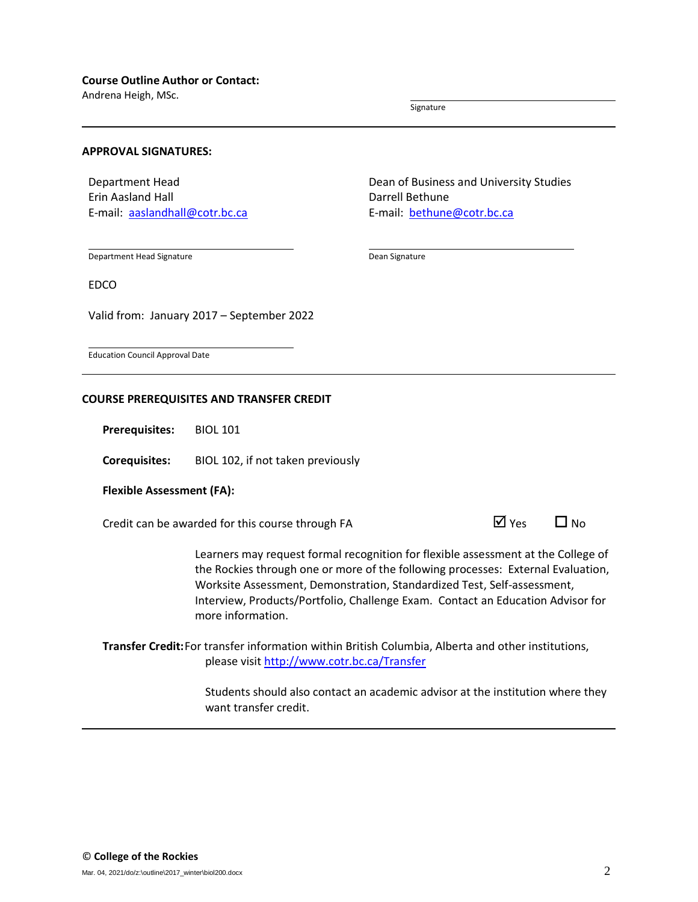Andrena Heigh, MSc.

Signature

### **APPROVAL SIGNATURES:**

Department Head Erin Aasland Hall E-mail: [aaslandhall@cotr.bc.ca](mailto:aaslandhall@cotr.bc.ca) Dean of Business and University Studies Darrell Bethune E-mail: [bethune@cotr.bc.ca](mailto:LCooper@cotr.bc.ca)

Department Head Signature

Dean Signature

EDCO

Valid from: January 2017 – September 2022

Education Council Approval Date

## **COURSE PREREQUISITES AND TRANSFER CREDIT**

**Prerequisites:** BIOL 101

**Corequisites:** BIOL 102, if not taken previously

### **Flexible Assessment (FA):**

Credit can be awarded for this course through FA  $\Box$  Yes  $\Box$  No

Learners may request formal recognition for flexible assessment at the College of the Rockies through one or more of the following processes: External Evaluation, Worksite Assessment, Demonstration, Standardized Test, Self-assessment, Interview, Products/Portfolio, Challenge Exam. Contact an Education Advisor for more information.

**Transfer Credit:**For transfer information within British Columbia, Alberta and other institutions, please visit<http://www.cotr.bc.ca/Transfer>

> Students should also contact an academic advisor at the institution where they want transfer credit.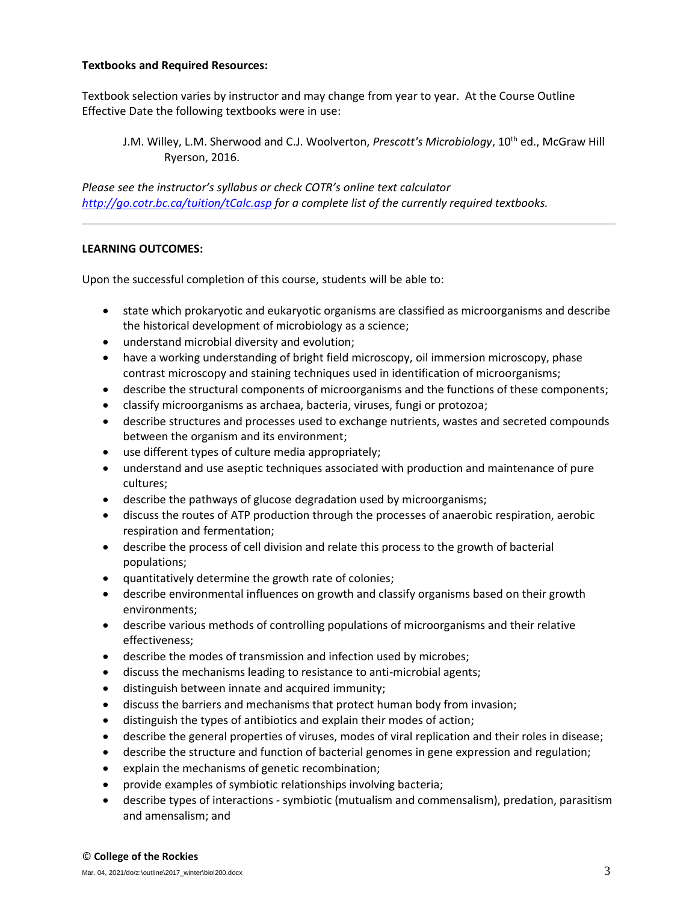# **Textbooks and Required Resources:**

Textbook selection varies by instructor and may change from year to year. At the Course Outline Effective Date the following textbooks were in use:

J.M. Willey, L.M. Sherwood and C.J. Woolverton, *Prescott's Microbiology*, 10th ed., McGraw Hill Ryerson, 2016.

*Please see the instructor's syllabus or check COTR's online text calculator <http://go.cotr.bc.ca/tuition/tCalc.asp> for a complete list of the currently required textbooks.*

# **LEARNING OUTCOMES:**

Upon the successful completion of this course, students will be able to:

- state which prokaryotic and eukaryotic organisms are classified as microorganisms and describe the historical development of microbiology as a science;
- understand microbial diversity and evolution;
- have a working understanding of bright field microscopy, oil immersion microscopy, phase contrast microscopy and staining techniques used in identification of microorganisms;
- describe the structural components of microorganisms and the functions of these components;
- classify microorganisms as archaea, bacteria, viruses, fungi or protozoa;
- describe structures and processes used to exchange nutrients, wastes and secreted compounds between the organism and its environment;
- use different types of culture media appropriately;
- understand and use aseptic techniques associated with production and maintenance of pure cultures;
- describe the pathways of glucose degradation used by microorganisms;
- discuss the routes of ATP production through the processes of anaerobic respiration, aerobic respiration and fermentation;
- describe the process of cell division and relate this process to the growth of bacterial populations;
- quantitatively determine the growth rate of colonies;
- describe environmental influences on growth and classify organisms based on their growth environments;
- describe various methods of controlling populations of microorganisms and their relative effectiveness;
- describe the modes of transmission and infection used by microbes;
- discuss the mechanisms leading to resistance to anti-microbial agents;
- distinguish between innate and acquired immunity;
- discuss the barriers and mechanisms that protect human body from invasion;
- distinguish the types of antibiotics and explain their modes of action;
- describe the general properties of viruses, modes of viral replication and their roles in disease;
- describe the structure and function of bacterial genomes in gene expression and regulation;
- explain the mechanisms of genetic recombination;
- provide examples of symbiotic relationships involving bacteria;
- describe types of interactions symbiotic (mutualism and commensalism), predation, parasitism and amensalism; and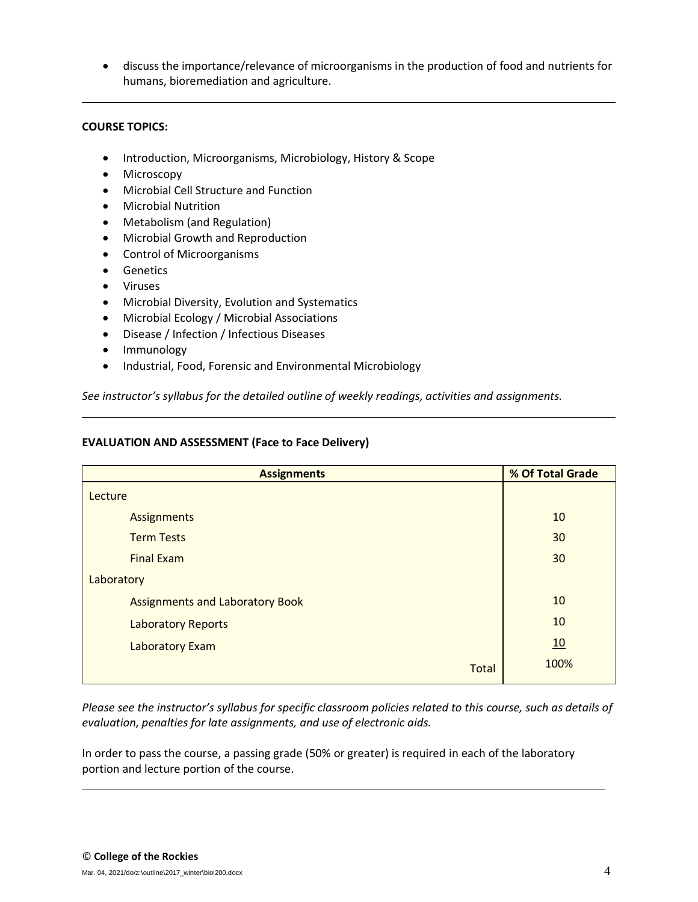• discuss the importance/relevance of microorganisms in the production of food and nutrients for humans, bioremediation and agriculture.

# **COURSE TOPICS:**

- Introduction, Microorganisms, Microbiology, History & Scope
- Microscopy
- Microbial Cell Structure and Function
- Microbial Nutrition
- Metabolism (and Regulation)
- Microbial Growth and Reproduction
- Control of Microorganisms
- Genetics
- Viruses
- Microbial Diversity, Evolution and Systematics
- Microbial Ecology / Microbial Associations
- Disease / Infection / Infectious Diseases
- Immunology
- Industrial, Food, Forensic and Environmental Microbiology

*See instructor's syllabus for the detailed outline of weekly readings, activities and assignments.* 

# **EVALUATION AND ASSESSMENT (Face to Face Delivery)**

| <b>Assignments</b>                     | % Of Total Grade |  |  |
|----------------------------------------|------------------|--|--|
| Lecture                                |                  |  |  |
| Assignments                            | 10               |  |  |
| <b>Term Tests</b>                      | 30               |  |  |
| <b>Final Exam</b>                      | 30               |  |  |
| Laboratory                             |                  |  |  |
| <b>Assignments and Laboratory Book</b> | 10               |  |  |
| <b>Laboratory Reports</b>              | 10               |  |  |
| Laboratory Exam                        | 10               |  |  |
| <b>Total</b>                           | 100%             |  |  |

*Please see the instructor's syllabus for specific classroom policies related to this course, such as details of evaluation, penalties for late assignments, and use of electronic aids.*

In order to pass the course, a passing grade (50% or greater) is required in each of the laboratory portion and lecture portion of the course.